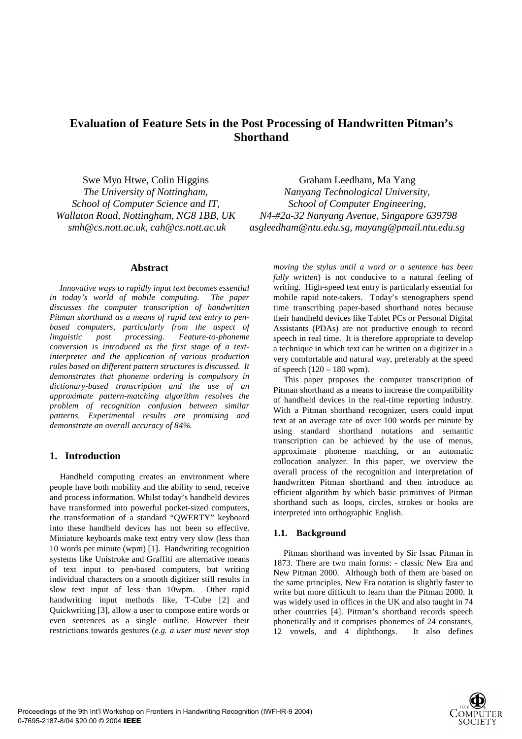# **Evaluation of Feature Sets in the Post Processing of Handwritten Pitman's Shorthand**

Swe Myo Htwe, Colin Higgins *The University of Nottingham, School of Computer Science and IT, Wallaton Road, Nottingham, NG8 1BB, UK smh@cs.nott.ac.uk, cah@cs.nott.ac.uk* 

#### **Abstract**

*Innovative ways to rapidly input text becomes essential in today's world of mobile computing. The paper discusses the computer transcription of handwritten Pitman shorthand as a means of rapid text entry to penbased computers, particularly from the aspect of linguistic post processing. Feature-to-phoneme conversion is introduced as the first stage of a textinterpreter and the application of various production rules based on different pattern structures is discussed. It demonstrates that phoneme ordering is compulsory in dictionary-based transcription and the use of an approximate pattern-matching algorithm resolves the problem of recognition confusion between similar patterns. Experimental results are promising and demonstrate an overall accuracy of 84%.* 

### **1. Introduction**

Handheld computing creates an environment where people have both mobility and the ability to send, receive and process information. Whilst today's handheld devices have transformed into powerful pocket-sized computers, the transformation of a standard "QWERTY" keyboard into these handheld devices has not been so effective. Miniature keyboards make text entry very slow (less than 10 words per minute (wpm) [1]. Handwriting recognition systems like Unistroke and Graffiti are alternative means of text input to pen-based computers, but writing individual characters on a smooth digitizer still results in slow text input of less than 10wpm. Other rapid handwriting input methods like, T-Cube [2] and Quickwriting [3], allow a user to compose entire words or even sentences as a single outline. However their restrictions towards gestures (*e.g. a user must never stop* 

Graham Leedham, Ma Yang *Nanyang Technological University, School of Computer Engineering, N4-#2a-32 Nanyang Avenue, Singapore 639798 asgleedham@ntu.edu.sg, mayang@pmail.ntu.edu.sg* 

> *moving the stylus until a word or a sentence has been fully written*) is not conducive to a natural feeling of writing. High-speed text entry is particularly essential for mobile rapid note-takers. Today's stenographers spend time transcribing paper-based shorthand notes because their handheld devices like Tablet PCs or Personal Digital Assistants (PDAs) are not productive enough to record speech in real time. It is therefore appropriate to develop a technique in which text can be written on a digitizer in a very comfortable and natural way, preferably at the speed of speech  $(120 - 180$  wpm).

> This paper proposes the computer transcription of Pitman shorthand as a means to increase the compatibility of handheld devices in the real-time reporting industry. With a Pitman shorthand recognizer, users could input text at an average rate of over 100 words per minute by using standard shorthand notations and semantic transcription can be achieved by the use of menus, approximate phoneme matching, or an automatic collocation analyzer. In this paper, we overview the overall process of the recognition and interpretation of handwritten Pitman shorthand and then introduce an efficient algorithm by which basic primitives of Pitman shorthand such as loops, circles, strokes or hooks are interpreted into orthographic English.

#### **1.1. Background**

Pitman shorthand was invented by Sir Issac Pitman in 1873. There are two main forms: - classic New Era and New Pitman 2000. Although both of them are based on the same principles, New Era notation is slightly faster to write but more difficult to learn than the Pitman 2000. It was widely used in offices in the UK and also taught in 74 other countries [4]. Pitman's shorthand records speech phonetically and it comprises phonemes of 24 constants, 12 vowels, and 4 diphthongs. It also defines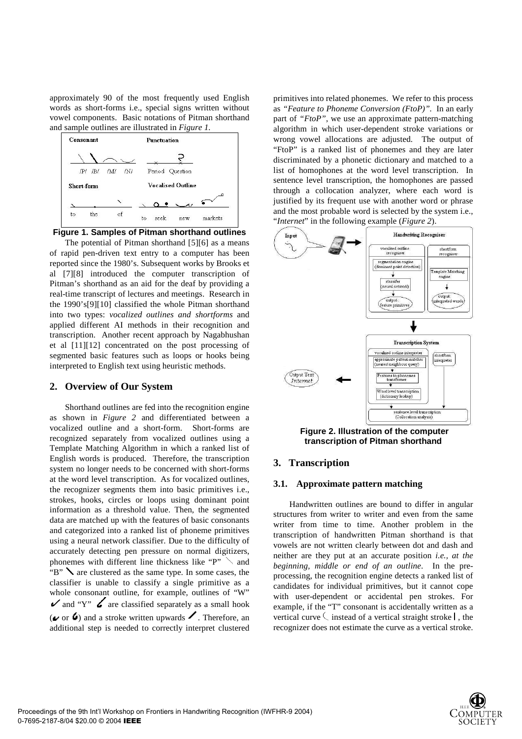approximately 90 of the most frequently used English words as short-forms i.e., special signs written without vowel components. Basic notations of Pitman shorthand and sample outlines are illustrated in *Figure 1.* 





The potential of Pitman shorthand [5][6] as a means of rapid pen-driven text entry to a computer has been reported since the 1980's. Subsequent works by Brooks et al [7][8] introduced the computer transcription of Pitman's shorthand as an aid for the deaf by providing a real-time transcript of lectures and meetings. Research in the 1990's[9][10] classified the whole Pitman shorthand into two types: *vocalized outlines and shortforms* and applied different AI methods in their recognition and transcription. Another recent approach by Nagabhushan et al [11][12] concentrated on the post processing of segmented basic features such as loops or hooks being interpreted to English text using heuristic methods.

## **2. Overview of Our System**

Shorthand outlines are fed into the recognition engine as shown in *Figure 2* and differentiated between a vocalized outline and a short-form. Short-forms are recognized separately from vocalized outlines using a Template Matching Algorithm in which a ranked list of English words is produced. Therefore, the transcription system no longer needs to be concerned with short-forms at the word level transcription. As for vocalized outlines, the recognizer segments them into basic primitives i.e., strokes, hooks, circles or loops using dominant point information as a threshold value. Then, the segmented data are matched up with the features of basic consonants and categorized into a ranked list of phoneme primitives using a neural network classifier. Due to the difficulty of accurately detecting pen pressure on normal digitizers, phonemes with different line thickness like "P"  $\searrow$  and  $\cdot$ <sup>c</sup>B"  $\sim$  are clustered as the same type. In some cases, the classifier is unable to classify a single primitive as a whole consonant outline, for example, outlines of "W"  $\mathbf{\check{v}}$  and "Y"  $\mathbf{\acute{v}}$  are classified separately as a small hook ( $\boldsymbol{\nu}$  or  $\boldsymbol{\theta}$ ) and a stroke written upwards  $\boldsymbol{\ell}$ . Therefore, an additional step is needed to correctly interpret clustered primitives into related phonemes. We refer to this process as *"Feature to Phoneme Conversion (FtoP)".* In an early part of *"FtoP"*, we use an approximate pattern-matching algorithm in which user-dependent stroke variations or wrong vowel allocations are adjusted. The output of "FtoP" is a ranked list of phonemes and they are later discriminated by a phonetic dictionary and matched to a list of homophones at the word level transcription. In sentence level transcription, the homophones are passed through a collocation analyzer, where each word is justified by its frequent use with another word or phrase and the most probable word is selected by the system i.e., "*Internet*" in the following example (*Figure 2*).



 **Figure 2. Illustration of the computer transcription of Pitman shorthand** 

#### **3. Transcription**

#### **3.1. Approximate pattern matching**

Handwritten outlines are bound to differ in angular structures from writer to writer and even from the same writer from time to time. Another problem in the transcription of handwritten Pitman shorthand is that vowels are not written clearly between dot and dash and neither are they put at an accurate position *i.e., at the beginning, middle or end of an outline*. In the preprocessing, the recognition engine detects a ranked list of candidates for individual primitives, but it cannot cope with user-dependent or accidental pen strokes. For example, if the "T" consonant is accidentally written as a vertical curve  $\zeta$  instead of a vertical straight stroke  $\vert$ , the recognizer does not estimate the curve as a vertical stroke.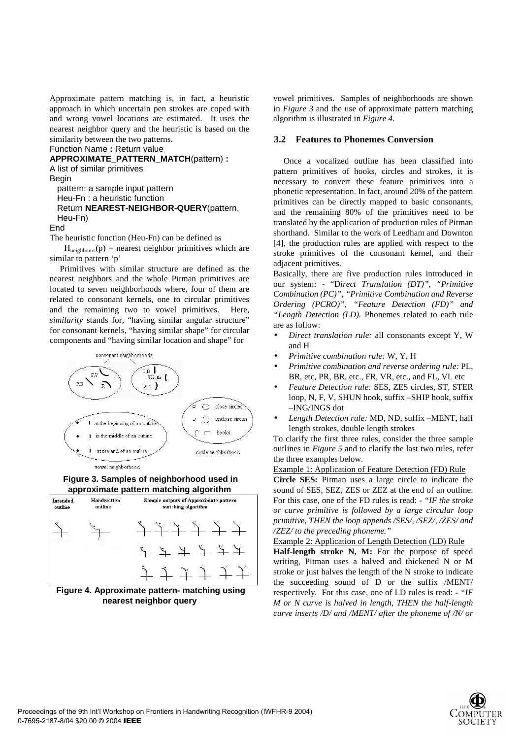Approximate pattern matching is, in fact, a heuristic approach in which uncertain pen strokes are coped with and wrong vowel locations are estimated. It uses the nearest neighbor query and the heuristic is based on the similarity between the two patterns.

Function Name **:** Return value

```
APPROXIMATE_PATTERN_MATCH(pattern) : 
A list of similar primitives
```
Begin

 pattern: a sample input pattern Heu-Fn : a heuristic function Return **NEAREST-NEIGHBOR-QUERY**(pattern, Heu-Fn)

End

The heuristic function (Heu-Fn) can be defined as

 $H_{neiphbourg}(p)$  = nearest neighbor primitives which are similar to pattern 'p'

Primitives with similar structure are defined as the nearest neighbors and the whole Pitman primitives are located to seven neighborhoods where, four of them are related to consonant kernels, one to circular primitives and the remaining two to vowel primitives. Here, *similarity* stands for, "having similar angular structure" for consonant kernels, "having similar shape" for circular components and "having similar location and shape" for







 **Figure 4. Approximate pattern- matching using nearest neighbor query** 

vowel primitives. Samples of neighborhoods are shown in *Figure 3* and the use of approximate pattern matching algorithm is illustrated in *Figure 4*.

#### **3.2 Features to Phonemes Conversion**

Once a vocalized outline has been classified into pattern primitives of hooks, circles and strokes, it is necessary to convert these feature primitives into a phonetic representation. In fact, around 20% of the pattern primitives can be directly mapped to basic consonants, and the remaining 80% of the primitives need to be translated by the application of production rules of Pitman shorthand. Similar to the work of Leedham and Downton [4], the production rules are applied with respect to the stroke primitives of the consonant kernel, and their adjacent primitives.

Basically, there are five production rules introduced in our system: - "D*irect Translation (DT)", "Primitive Combination (PC)", "Primitive Combination and Reverse Ordering (PCRO)", "Feature Detection (FD)" and "Length Detection (LD).* Phonemes related to each rule are as follow:

- *Direct translation rule:* all consonants except Y, W and H
- *Primitive combination rule:* W, Y, H
- *Primitive combination and reverse ordering rule:* PL, BR, etc, PR, BR, etc., FR, VR, etc., and FL, VL etc
- *Feature Detection rule:* SES, ZES circles, ST, STER loop, N, F, V, SHUN hook, suffix –SHIP hook, suffix –ING/INGS dot
- *Length Detection rule:* MD, ND, suffix –MENT, half length strokes, double length strokes

To clarify the first three rules, consider the three sample outlines in *Figure 5* and to clarify the last two rules, refer the three examples below.

Example 1: Application of Feature Detection (FD) Rule

**Circle SES:** Pitman uses a large circle to indicate the sound of SES, SEZ, ZES or ZEZ at the end of an outline. For this case, one of the FD rules is read: - *"IF the stroke or curve primitive is followed by a large circular loop primitive, THEN the loop appends /SES/, /SEZ/, /ZES/ and /ZEZ/ to the preceding phoneme."* 

Example 2: Application of Length Detection (LD) Rule

Half-length stroke N, M: For the purpose of speed writing, Pitman uses a halved and thickened N or M stroke or just halves the length of the N stroke to indicate the succeeding sound of D or the suffix /MENT/ respectively. For this case, one of LD rules is read: - *"IF M or N curve is halved in length, THEN the half-length curve inserts /D/ and /MENT/ after the phoneme of /N/ or*

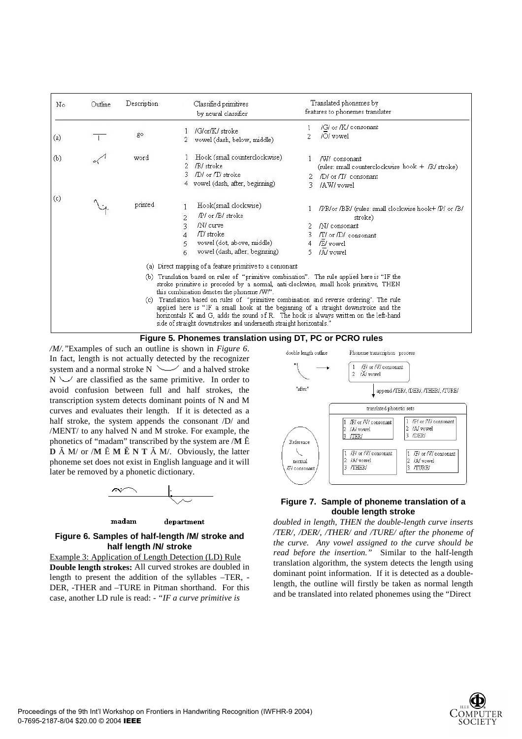| No  | Outline | Description | Classified primitives<br>by neural classifier                                                                                                                                                                                                                                                                                                                                                                                                                                                                                                                                                                                                  |                                                                                                    |    | Translated phonemes by<br>features to phonemes translater                                                |  |  |  |  |  |
|-----|---------|-------------|------------------------------------------------------------------------------------------------------------------------------------------------------------------------------------------------------------------------------------------------------------------------------------------------------------------------------------------------------------------------------------------------------------------------------------------------------------------------------------------------------------------------------------------------------------------------------------------------------------------------------------------------|----------------------------------------------------------------------------------------------------|----|----------------------------------------------------------------------------------------------------------|--|--|--|--|--|
| (a) |         | go          | 2                                                                                                                                                                                                                                                                                                                                                                                                                                                                                                                                                                                                                                              | /G/or/K/ stroke<br>vowel (dash, below, middle)                                                     | 2  | /G/ or /K/ consonant<br>/O/ yowel                                                                        |  |  |  |  |  |
| (b) |         | word        | $\mathfrak{D}$<br>3<br>4                                                                                                                                                                                                                                                                                                                                                                                                                                                                                                                                                                                                                       | Hook (small counterclockwise)<br>/R/ stroke<br>/D/ or /T/ stroke<br>vowel (dash, after, beginning) | 3. | /W/ consonant<br>(rules: small counterclockwise hook + /R/ stroke)<br>/D/ or /T/ consonant<br>/AW/ yowel |  |  |  |  |  |
| (c) |         | printed     | $\overline{c}$                                                                                                                                                                                                                                                                                                                                                                                                                                                                                                                                                                                                                                 | Hook(small clockwise)<br>/P/ or /B/ stroke                                                         |    | /PR/or /BR/ (rules: small clockwise hook+ /P/ or /B/<br>stroke)                                          |  |  |  |  |  |
|     |         |             | 3<br>$\overline{4}$<br>$\overline{5}$<br>6                                                                                                                                                                                                                                                                                                                                                                                                                                                                                                                                                                                                     | /N/ curve<br>$\pi$ stroke<br>vowel (dot, above, middle)<br>vowel (dash, after, beginning)          | 5. | /N/ consonant<br>/T/ or /D/ consonant<br>/E/ vowel<br>/A/ vowel                                          |  |  |  |  |  |
|     |         |             | (a) Direct mapping of a feature primitive to a consonant<br>(b) Translation based on rules of "primitive combination". The rule applied here is "IF the<br>stroke primitive is preceded by a normal, anti-clockwise, small hook primitive, THEN<br>this combination denotes the phoneme /W/".<br>(c) Translation based on rules of "primitive combination and reverse ordering". The rule<br>applied here is "IF a small hook at the beginning of a straight downstroke and the<br>horizontals K and G, adds the sound of R. The hook is always written on the left-hand<br>side of straight downstrokes and underneath straight horizontals." |                                                                                                    |    |                                                                                                          |  |  |  |  |  |



*/M/."*Examples of such an outline is shown in *Figure 6*. In fact, length is not actually detected by the recognizer system and a normal stroke  $N \searrow$  and a halved stroke  $N \cup \{$  are classified as the same primitive. In order to avoid confusion between full and half strokes, the transcription system detects dominant points of N and M curves and evaluates their length. If it is detected as a half stroke, the system appends the consonant /D/ and /MENT/ to any halved N and M stroke. For example, the phonetics of "madam" transcribed by the system are /**M** Ĕ **D** Ă M/ or /**M** Ĕ **M Ĕ N T** Ă M/. Obviously, the latter phoneme set does not exist in English language and it will later be removed by a phonetic dictionary.



department



### **Figure 6. Samples of half-length /M/ stroke and half length /N/ stroke**

Example 3: Application of Length Detection (LD) Rule **Double length strokes:** All curved strokes are doubled in length to present the addition of the syllables –TER, - DER, -THER and –TURE in Pitman shorthand. For this case, another LD rule is read: - *"IF a curve primitive is* 



### **Figure 7. Sample of phoneme translation of a double length stroke**

*doubled in length, THEN the double-length curve inserts /TER/, /DER/, /THER/ and /TURE/ after the phoneme of the curve. Any vowel assigned to the curve should be read before the insertion."* Similar to the half-length translation algorithm, the system detects the length using dominant point information. If it is detected as a doublelength, the outline will firstly be taken as normal length and be translated into related phonemes using the "Direct

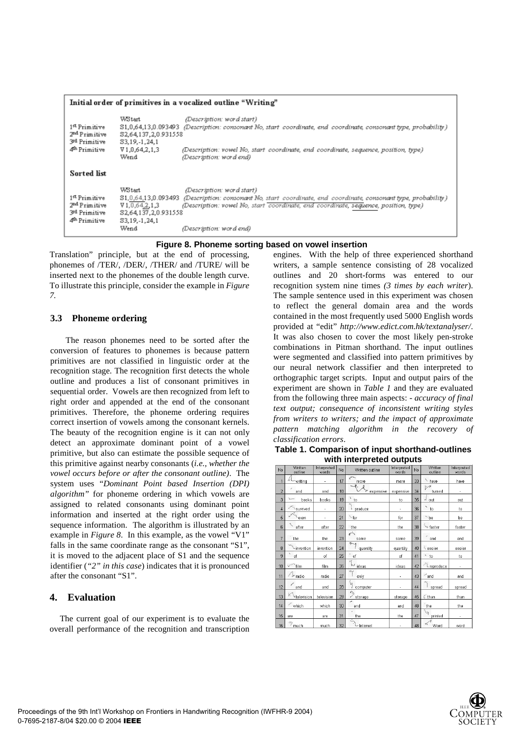```
Initial order of primitives in a vocalized outline "Writing"
                  WStart
                                          (Description: word start)
                  S1,0,64,13,0.093493 (Description: consonant No, start coordinate, end coordinate, consonant type, probability)
1st Primitive
2<sup>nd</sup> Primitive
                  32 64 137 2 0 0 3 1 5 5 8
3d Primitive
                  S3, 19, -1, 24, 14<sup>th</sup> Primitive
                  V1,0,64,2,1,3
                                         (Description: vowel No, start coordinate, end coordinate, sequence, position, type)
                  Wend
                                         .<br>(Description: word end)
Sorted list
                  WStart.
                                          (Description: word start)
1st Primitive
                  S1,0,64,13,0.093493 (Description: consonant No, start coordinate, end coordinate, consonant type, probability)
2<sup>nd</sup> Primitive
                  V1,0,64,2,1,3<br>S2,64,137,2,0.931558
                                         (Description: vowel No, start coordinate, end coordinate, sequence, position, type)
3rd Primitive
4<sup>th</sup> Primitive
                  $3,19,-1,24,1
                  Wend
                                         (Description: word end)
```


Translation" principle, but at the end of processing, phonemes of /TER/, /DER/, /THER/ and /TURE/ will be inserted next to the phonemes of the double length curve. To illustrate this principle, consider the example in *Figure 7.* 

## **3.3 Phoneme ordering**

The reason phonemes need to be sorted after the conversion of features to phonemes is because pattern primitives are not classified in linguistic order at the recognition stage. The recognition first detects the whole outline and produces a list of consonant primitives in sequential order. Vowels are then recognized from left to right order and appended at the end of the consonant primitives. Therefore, the phoneme ordering requires correct insertion of vowels among the consonant kernels. The beauty of the recognition engine is it can not only detect an approximate dominant point of a vowel primitive, but also can estimate the possible sequence of this primitive against nearby consonants (*i.e., whether the vowel occurs before or after the consonant outline)*. The system uses "*Dominant Point based Insertion (DPI) algorithm"* for phoneme ordering in which vowels are assigned to related consonants using dominant point information and inserted at the right order using the sequence information. The algorithm is illustrated by an example in *Figure 8*. In this example, as the vowel "V1" falls in the same coordinate range as the consonant "S1", it is moved to the adjacent place of S1 and the sequence identifier (*"2" in this case*) indicates that it is pronounced after the consonant "S1".

# **4. Evaluation**

The current goal of our experiment is to evaluate the overall performance of the recognition and transcription

engines. With the help of three experienced shorthand writers, a sample sentence consisting of 28 vocalized outlines and 20 short-forms was entered to our recognition system nine times *(3 times by each writer*). The sample sentence used in this experiment was chosen to reflect the general domain area and the words contained in the most frequently used 5000 English words provided at "edit" *http://www.edict.com.hk/textanalyser/*. It was also chosen to cover the most likely pen-stroke combinations in Pitman shorthand. The input outlines were segmented and classified into pattern primitives by our neural network classifier and then interpreted to orthographic target scripts. Input and output pairs of the experiment are shown in *Table 1* and they are evaluated from the following three main aspects: - *accuracy of final text output; consequence of inconsistent writing styles from writers to writers; and the impact of approximate pattern matching algorithm in the recovery of classification errors*.

| Table 1. Comparison of input shorthand-outlines |
|-------------------------------------------------|
| with interpreted outputs                        |

| No             | Written<br>outline     | Interpreted<br>words | No | Written outline                | Interpreted<br>words | No | Written<br>outline | Interpreted<br>words |
|----------------|------------------------|----------------------|----|--------------------------------|----------------------|----|--------------------|----------------------|
| 1              | writing                | ÷,                   | 17 | ċ<br>more                      | more                 | 33 | have               | have                 |
| $\overline{a}$ | and                    | and                  | 18 | expensive                      | expensive            | 34 | v<br>tumed         |                      |
| 3              | books                  | books                | 19 | to                             | to                   | 35 | al.<br>out         | out                  |
| $\overline{4}$ | survived               |                      | 20 | produce                        |                      | 36 | $\checkmark$<br>to | to                   |
| 5              | even                   |                      | 21 | $\sim$ for<br>for              |                      | 37 | $\sim$ be          | be                   |
| 6              | $\mathcal{F}$<br>after | after                | 22 | the                            | the                  | 38 | <b>b</b> faster    | faster               |
| $\overline{7}$ | the                    | the                  | 23 | $\dot{\mathcal{L}}$<br>same    | same                 | 39 | and                | and                  |
| 8              | invention              | invention            | 24 | Ey<br>quantity                 | quantity             | 40 | easier             | easier               |
| 9              | $\lambda$<br>of        | of                   | 25 | x<br>of                        | of                   | 41 | ×,<br>to           | to                   |
| 10             | film                   | film                 | 26 | ٧ſ<br>6 ≠<br>ideas             | ideas                | 42 | 1. reproduce       | ٠                    |
| 11             | $\sqrt{2}$ radio       | radio                | 27 | $\mathbf{u}$<br>only           |                      | 43 | and                | and                  |
| 12             | ╱<br>and               | and                  | 28 | v<br>computer                  |                      | 44 | spread             | spread               |
| 13             | $k$ television         | television           | 29 | $\dot{\mathcal{D}}$<br>storage | storage              | 45 | $6$ than           | than                 |
| 14             | which                  | which                | 30 | and                            | and                  | 48 | the                | the                  |
| 15             | are                    | are                  | 31 | the                            | the                  | 47 | ů.<br>printed      |                      |
| 1 <sup>2</sup> | $7$ <sub>much</sub>    | much                 | 22 | - Internet                     |                      | 49 | ı.<br>Mord         | <b>MARTIN</b>        |